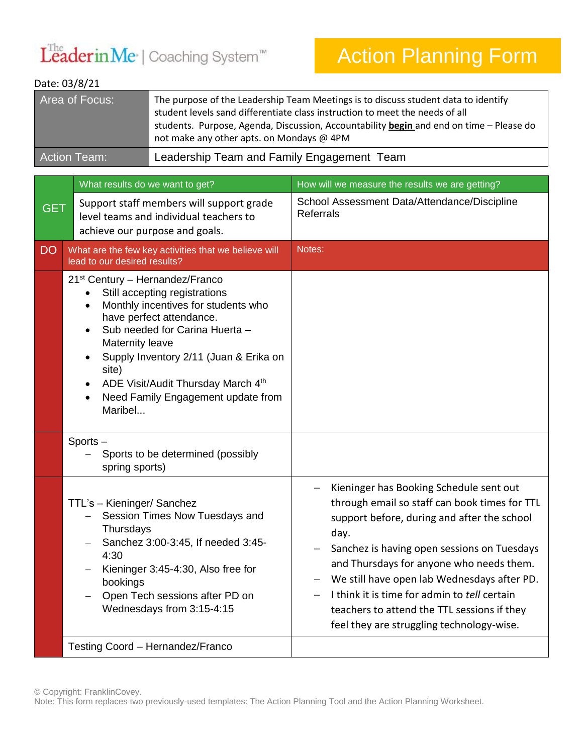## LeaderinMe<sup>·</sup> | Coaching System™

## Action Planning Form

## Date: 03/8/21

| Area of Focus:      | The purpose of the Leadership Team Meetings is to discuss student data to identify<br>student levels sand differentiate class instruction to meet the needs of all<br>students. Purpose, Agenda, Discussion, Accountability begin and end on time - Please do<br>not make any other apts. on Mondays @ 4PM |
|---------------------|------------------------------------------------------------------------------------------------------------------------------------------------------------------------------------------------------------------------------------------------------------------------------------------------------------|
| <b>Action Team:</b> | Leadership Team and Family Engagement Team                                                                                                                                                                                                                                                                 |

|            | What results do we want to get?                                                                                                                                                                                                                                                                                                                                                                                              | How will we measure the results we are getting?                                                                                                                                                                                                                                                                                                                                                                                       |
|------------|------------------------------------------------------------------------------------------------------------------------------------------------------------------------------------------------------------------------------------------------------------------------------------------------------------------------------------------------------------------------------------------------------------------------------|---------------------------------------------------------------------------------------------------------------------------------------------------------------------------------------------------------------------------------------------------------------------------------------------------------------------------------------------------------------------------------------------------------------------------------------|
| <b>GET</b> | Support staff members will support grade<br>level teams and individual teachers to<br>achieve our purpose and goals.                                                                                                                                                                                                                                                                                                         | School Assessment Data/Attendance/Discipline<br><b>Referrals</b>                                                                                                                                                                                                                                                                                                                                                                      |
| <b>DO</b>  | What are the few key activities that we believe will<br>lead to our desired results?                                                                                                                                                                                                                                                                                                                                         | Notes:                                                                                                                                                                                                                                                                                                                                                                                                                                |
|            | 21 <sup>st</sup> Century - Hernandez/Franco<br>Still accepting registrations<br>$\bullet$<br>Monthly incentives for students who<br>$\bullet$<br>have perfect attendance.<br>Sub needed for Carina Huerta -<br>$\bullet$<br>Maternity leave<br>Supply Inventory 2/11 (Juan & Erika on<br>$\bullet$<br>site)<br>ADE Visit/Audit Thursday March 4th<br>$\bullet$<br>Need Family Engagement update from<br>$\bullet$<br>Maribel |                                                                                                                                                                                                                                                                                                                                                                                                                                       |
|            | Sports-<br>Sports to be determined (possibly<br>spring sports)                                                                                                                                                                                                                                                                                                                                                               |                                                                                                                                                                                                                                                                                                                                                                                                                                       |
|            | TTL's - Kieninger/ Sanchez<br>Session Times Now Tuesdays and<br>$-$<br>Thursdays<br>Sanchez 3:00-3:45, If needed 3:45-<br>4:30<br>Kieninger 3:45-4:30, Also free for<br>bookings<br>Open Tech sessions after PD on<br>Wednesdays from 3:15-4:15                                                                                                                                                                              | Kieninger has Booking Schedule sent out<br>through email so staff can book times for TTL<br>support before, during and after the school<br>day.<br>Sanchez is having open sessions on Tuesdays<br>and Thursdays for anyone who needs them.<br>We still have open lab Wednesdays after PD.<br>I think it is time for admin to tell certain<br>teachers to attend the TTL sessions if they<br>feel they are struggling technology-wise. |
|            | Testing Coord - Hernandez/Franco                                                                                                                                                                                                                                                                                                                                                                                             |                                                                                                                                                                                                                                                                                                                                                                                                                                       |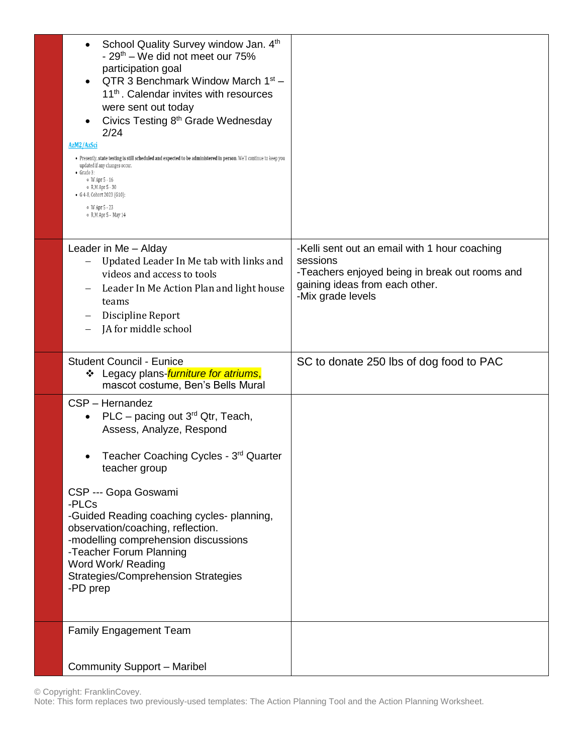| School Quality Survey window Jan. 4th<br>- 29 <sup>th</sup> – We did not meet our 75%<br>participation goal<br>QTR 3 Benchmark Window March $1st$ –<br>11 <sup>th</sup> . Calendar invites with resources<br>were sent out today<br>Civics Testing 8 <sup>th</sup> Grade Wednesday<br>2/24<br>AzM2/AzSci<br>. Presently, state testing is still scheduled and expected to be administered in person. We'll continue to keep you<br>updated if any changes occur.<br>$\bullet$ Grade 3:<br>$\circ$ W Apr $5 - 16$<br>o R, M Apr 5 - 30<br>• G 4-8, Cohort 2023 (G10):<br>o W Apr 5 - 23<br>o R, M Apr 5 - May 14 |                                                                                                       |
|-----------------------------------------------------------------------------------------------------------------------------------------------------------------------------------------------------------------------------------------------------------------------------------------------------------------------------------------------------------------------------------------------------------------------------------------------------------------------------------------------------------------------------------------------------------------------------------------------------------------|-------------------------------------------------------------------------------------------------------|
| Leader in Me - Alday                                                                                                                                                                                                                                                                                                                                                                                                                                                                                                                                                                                            | -Kelli sent out an email with 1 hour coaching<br>sessions                                             |
| Updated Leader In Me tab with links and<br>videos and access to tools<br>Leader In Me Action Plan and light house<br>teams                                                                                                                                                                                                                                                                                                                                                                                                                                                                                      | -Teachers enjoyed being in break out rooms and<br>gaining ideas from each other.<br>-Mix grade levels |
| Discipline Report<br>JA for middle school                                                                                                                                                                                                                                                                                                                                                                                                                                                                                                                                                                       |                                                                                                       |
| <b>Student Council - Eunice</b><br>❖ Legacy plans- <i>furniture for atriums</i> ,<br>mascot costume, Ben's Bells Mural                                                                                                                                                                                                                                                                                                                                                                                                                                                                                          | SC to donate 250 lbs of dog food to PAC                                                               |
| CSP - Hernandez<br>PLC – pacing out $3^{rd}$ Qtr, Teach,<br>$\bullet$<br>Assess, Analyze, Respond                                                                                                                                                                                                                                                                                                                                                                                                                                                                                                               |                                                                                                       |
| Teacher Coaching Cycles - 3rd Quarter<br>teacher group                                                                                                                                                                                                                                                                                                                                                                                                                                                                                                                                                          |                                                                                                       |
| CSP --- Gopa Goswami<br>-PLCs<br>-Guided Reading coaching cycles- planning,                                                                                                                                                                                                                                                                                                                                                                                                                                                                                                                                     |                                                                                                       |
| observation/coaching, reflection.<br>-modelling comprehension discussions<br>-Teacher Forum Planning<br>Word Work/ Reading<br><b>Strategies/Comprehension Strategies</b><br>-PD prep                                                                                                                                                                                                                                                                                                                                                                                                                            |                                                                                                       |
| <b>Family Engagement Team</b>                                                                                                                                                                                                                                                                                                                                                                                                                                                                                                                                                                                   |                                                                                                       |
| Community Support - Maribel                                                                                                                                                                                                                                                                                                                                                                                                                                                                                                                                                                                     |                                                                                                       |

© Copyright: FranklinCovey.

Note: This form replaces two previously-used templates: The Action Planning Tool and the Action Planning Worksheet.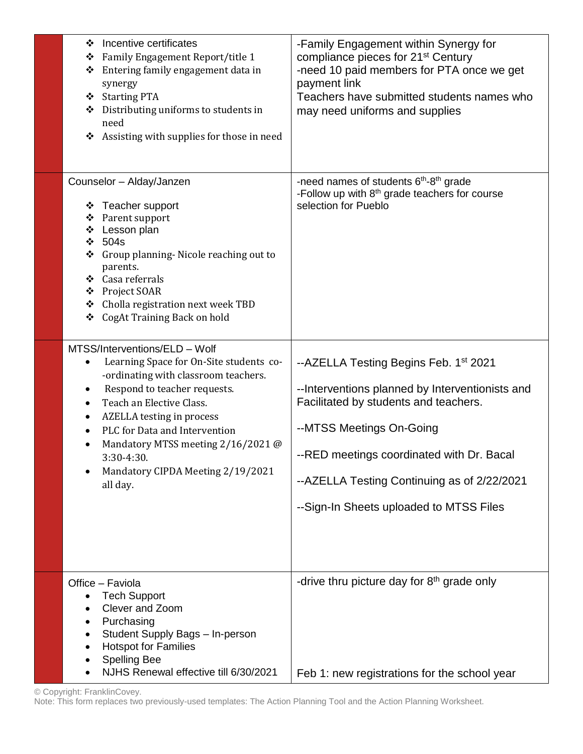| Incentive certificates<br>❖<br>Family Engagement Report/title 1<br>❖<br>Entering family engagement data in<br>❖<br>synergy<br>❖ Starting PTA<br>Distributing uniforms to students in<br>need<br>Assisting with supplies for those in need<br>❖                                                                                                                                | -Family Engagement within Synergy for<br>compliance pieces for 21 <sup>st</sup> Century<br>-need 10 paid members for PTA once we get<br>payment link<br>Teachers have submitted students names who<br>may need uniforms and supplies                                                                             |
|-------------------------------------------------------------------------------------------------------------------------------------------------------------------------------------------------------------------------------------------------------------------------------------------------------------------------------------------------------------------------------|------------------------------------------------------------------------------------------------------------------------------------------------------------------------------------------------------------------------------------------------------------------------------------------------------------------|
| Counselor - Alday/Janzen<br>❖ Teacher support<br>Parent support<br>❖<br>Lesson plan<br>❖<br>❖<br>504s<br>Group planning-Nicole reaching out to<br>❖<br>parents.<br>❖ Casa referrals<br>❖ Project SOAR<br>Cholla registration next week TBD<br>❖<br>CogAt Training Back on hold<br>❖                                                                                           | -need names of students $6th$ -8 <sup>th</sup> grade<br>-Follow up with 8 <sup>th</sup> grade teachers for course<br>selection for Pueblo                                                                                                                                                                        |
| MTSS/Interventions/ELD - Wolf<br>Learning Space for On-Site students co-<br>-ordinating with classroom teachers.<br>Respond to teacher requests.<br>٠<br>Teach an Elective Class.<br>$\bullet$<br><b>AZELLA</b> testing in process<br>٠<br>PLC for Data and Intervention<br>Mandatory MTSS meeting 2/16/2021 @<br>3:30-4:30.<br>Mandatory CIPDA Meeting 2/19/2021<br>all day. | --AZELLA Testing Begins Feb. 1 <sup>st</sup> 2021<br>--Interventions planned by Interventionists and<br>Facilitated by students and teachers.<br>--MTSS Meetings On-Going<br>--RED meetings coordinated with Dr. Bacal<br>--AZELLA Testing Continuing as of 2/22/2021<br>--Sign-In Sheets uploaded to MTSS Files |
| Office - Faviola<br><b>Tech Support</b><br>Clever and Zoom<br>Purchasing<br>Student Supply Bags - In-person<br><b>Hotspot for Families</b><br><b>Spelling Bee</b><br>NJHS Renewal effective till 6/30/2021                                                                                                                                                                    | -drive thru picture day for $8th$ grade only<br>Feb 1: new registrations for the school year                                                                                                                                                                                                                     |

© Copyright: FranklinCovey. Note: This form replaces two previously-used templates: The Action Planning Tool and the Action Planning Worksheet.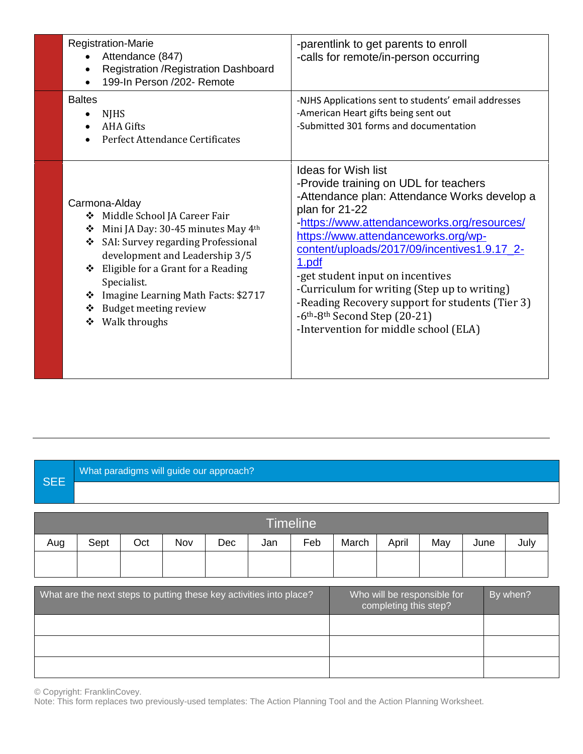| <b>Registration-Marie</b><br>Attendance (847)<br>Registration / Registration Dashboard<br>199-In Person /202- Remote                                                                                                                                                                                                                 | -parentlink to get parents to enroll<br>-calls for remote/in-person occurring                                                                                                                                                                                                                                                                                                                                                                                                                                                  |
|--------------------------------------------------------------------------------------------------------------------------------------------------------------------------------------------------------------------------------------------------------------------------------------------------------------------------------------|--------------------------------------------------------------------------------------------------------------------------------------------------------------------------------------------------------------------------------------------------------------------------------------------------------------------------------------------------------------------------------------------------------------------------------------------------------------------------------------------------------------------------------|
| <b>Baltes</b><br><b>NJHS</b><br><b>AHA Gifts</b><br>Perfect Attendance Certificates                                                                                                                                                                                                                                                  | -NJHS Applications sent to students' email addresses<br>-American Heart gifts being sent out<br>-Submitted 301 forms and documentation                                                                                                                                                                                                                                                                                                                                                                                         |
| Carmona-Alday<br>Middle School JA Career Fair<br>❖<br>Mini JA Day: 30-45 minutes May 4th<br>❖<br>SAI: Survey regarding Professional<br>❖<br>development and Leadership 3/5<br>Eligible for a Grant for a Reading<br>❖<br>Specialist.<br>Imagine Learning Math Facts: \$2717<br>❖<br>Budget meeting review<br>❖<br>Walk throughs<br>❖ | <b>Ideas for Wish list</b><br>-Provide training on UDL for teachers<br>-Attendance plan: Attendance Works develop a<br>plan for 21-22<br>-https://www.attendanceworks.org/resources/<br>https://www.attendanceworks.org/wp-<br>content/uploads/2017/09/incentives1.9.17_2-<br>1.pdf<br>-get student input on incentives<br>-Curriculum for writing (Step up to writing)<br>-Reading Recovery support for students (Tier 3)<br>$-6$ <sup>th</sup> -8 <sup>th</sup> Second Step (20-21)<br>-Intervention for middle school (ELA) |

## **SEE** What paradigms will guide our approach?

| <b>Timeline</b>                                                     |      |     |     |     |     |                                                      |       |       |     |          |      |
|---------------------------------------------------------------------|------|-----|-----|-----|-----|------------------------------------------------------|-------|-------|-----|----------|------|
| Aug                                                                 | Sept | Oct | Nov | Dec | Jan | Feb                                                  | March | April | May | June     | July |
|                                                                     |      |     |     |     |     |                                                      |       |       |     |          |      |
|                                                                     |      |     |     |     |     |                                                      |       |       |     |          |      |
| What are the next steps to putting these key activities into place? |      |     |     |     |     | Who will be responsible for<br>completing this step? |       |       |     | By when? |      |
|                                                                     |      |     |     |     |     |                                                      |       |       |     |          |      |
|                                                                     |      |     |     |     |     |                                                      |       |       |     |          |      |
|                                                                     |      |     |     |     |     |                                                      |       |       |     |          |      |

© Copyright: FranklinCovey.

Note: This form replaces two previously-used templates: The Action Planning Tool and the Action Planning Worksheet.